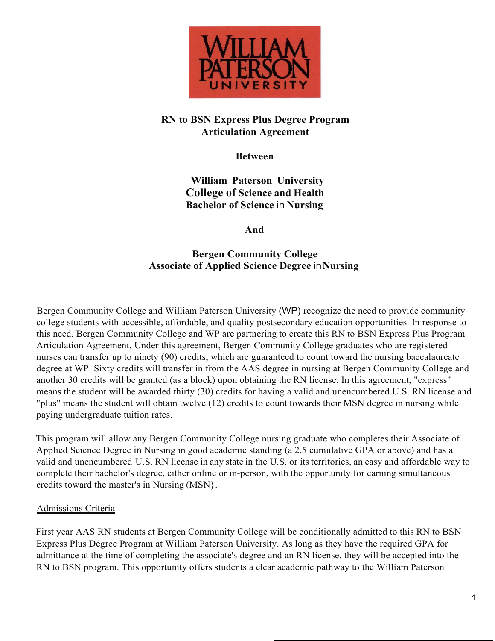

## **RN to BSN Express Plus Degree Program Articulation Agreement**

**Between**

**William Paterson University College of Science and Health Bachelor of Science** in **Nursing**

**And**

## **Bergen Community College Associate of Applied Science Degree** in**Nursing**

Bergen Community College and William Paterson University (WP) recognize the need to provide community college students with accessible, affordable, and quality postsecondary education opportunities. In response to this need, Bergen Community College and WP are partnering to create this RN to BSN Express Plus Program Articulation Agreement. Under this agreement, Bergen Community College graduates who are registered nurses can transfer up to ninety (90) credits, which are guaranteed to count toward the nursing baccalaureate degree at WP. Sixty credits will transfer in from the AAS degree in nursing at Bergen Community College and another 30 credits will be granted (as a block) upon obtaining the RN license. In this agreement, "express" means the student will be awarded thirty (30) credits for having a valid and unencumbered U.S. RN license and "plus" means the student will obtain twelve (12) credits to count towards their MSN degree in nursing while paying undergraduate tuition rates.

This program will allow any Bergen Community College nursing graduate who completes their Associate of Applied Science Degree in Nursing in good academic standing (a 2.5 cumulative GPA or above) and has a valid and unencumbered U.S. RN license in any state in the U.S. or its territories, an easy and affordable way to complete their bachelor's degree, either online or in-person, with the opportunity for earning simultaneous credits toward the master's in Nursing (MSN}.

#### Admissions Criteria

First year AAS RN students at Bergen Community College will be conditionally admitted to this RN to BSN Express Plus Degree Program at William Paterson University. As long as they have the required GPA for admittance at the time of completing the associate's degree and an RN license, they will be accepted into the RN to BSN program. This opportunity offers students a clear academic pathway to the William Paterson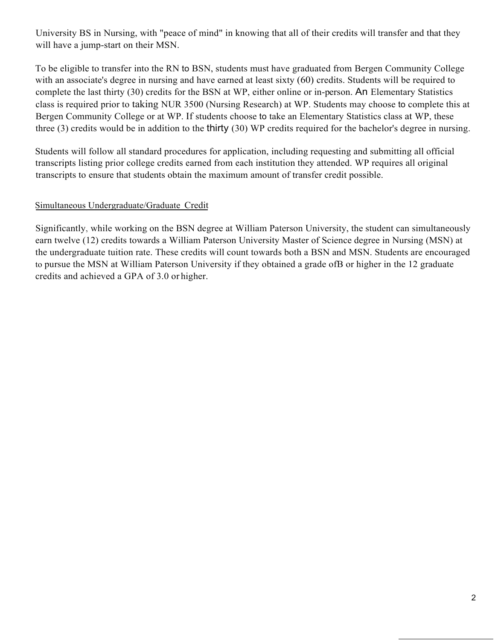University BS in Nursing, with "peace of mind" in knowing that all of their credits will transfer and that they will have a jump-start on their MSN.

To be eligible to transfer into the RN to BSN, students must have graduated from Bergen Community College with an associate's degree in nursing and have earned at least sixty (60) credits. Students will be required to complete the last thirty (30) credits for the BSN at WP, either online or in-person. An Elementary Statistics class is required prior to taking NUR 3500 (Nursing Research) at WP. Students may choose to complete this at Bergen Community College or at WP. If students choose to take an Elementary Statistics class at WP, these three (3) credits would be in addition to the thirty (30) WP credits required for the bachelor's degree in nursing.

Students will follow all standard procedures for application, including requesting and submitting all official transcripts listing prior college credits earned from each institution they attended. WP requires all original transcripts to ensure that students obtain the maximum amount of transfer credit possible.

#### Simultaneous Undergraduate/Graduate Credit

Significantly, while working on the BSN degree at William Paterson University, the student can simultaneously earn twelve (12) credits towards a William Paterson University Master of Science degree in Nursing (MSN) at the undergraduate tuition rate. These credits will count towards both a BSN and MSN. Students are encouraged to pursue the MSN at William Paterson University if they obtained a grade ofB or higher in the 12 graduate credits and achieved a GPA of 3.0 or higher.